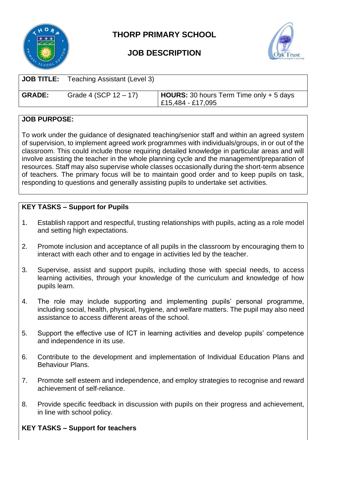

**THORP PRIMARY SCHOOL**



## **JOB DESCRIPTION**

| <b>JOB TITLE:</b> | Teaching Assistant (Level 3) |                                                                        |
|-------------------|------------------------------|------------------------------------------------------------------------|
| <b>GRADE:</b>     | Grade 4 (SCP $12 - 17$ )     | $\vert$ HOURS: 30 hours Term Time only + 5 days<br>  £15,484 - £17,095 |

## **JOB PURPOSE:**

To work under the guidance of designated teaching/senior staff and within an agreed system of supervision, to implement agreed work programmes with individuals/groups, in or out of the classroom. This could include those requiring detailed knowledge in particular areas and will involve assisting the teacher in the whole planning cycle and the management/preparation of resources. Staff may also supervise whole classes occasionally during the short-term absence of teachers. The primary focus will be to maintain good order and to keep pupils on task, responding to questions and generally assisting pupils to undertake set activities.

## **KEY TASKS – Support for Pupils**

- 1. Establish rapport and respectful, trusting relationships with pupils, acting as a role model and setting high expectations.
- 2. Promote inclusion and acceptance of all pupils in the classroom by encouraging them to interact with each other and to engage in activities led by the teacher.
- 3. Supervise, assist and support pupils, including those with special needs, to access learning activities, through your knowledge of the curriculum and knowledge of how pupils learn.
- 4. The role may include supporting and implementing pupils' personal programme, including social, health, physical, hygiene*,* and welfare matters. The pupil may also need assistance to access different areas of the school.
- 5. Support the effective use of ICT in learning activities and develop pupils' competence and independence in its use.
- 6. Contribute to the development and implementation of Individual Education Plans and Behaviour Plans.
- 7. Promote self esteem and independence, and employ strategies to recognise and reward achievement of self-reliance.
- 8. Provide specific feedback in discussion with pupils on their progress and achievement, in line with school policy.

## **KEY TASKS – Support for teachers**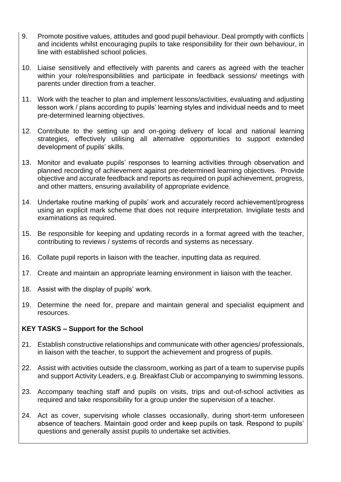- 9. Promote positive values, attitudes and good pupil behaviour. Deal promptly with conflicts and incidents whilst encouraging pupils to take responsibility for their own behaviour, in line with established school policies.
- 10. Liaise sensitively and effectively with parents and carers as agreed with the teacher within your role/responsibilities and participate in feedback sessions/ meetings with parents under direction from a teacher.
- 11. Work with the teacher to plan and implement lessons/activities, evaluating and adjusting lesson work / plans according to pupils' learning styles and individual needs and to meet pre-determined learning objectives.
- 12. Contribute to the setting up and on-going delivery of local and national learning strategies, effectively utilising all alternative opportunities to support extended development of pupils' skills.
- 13. Monitor and evaluate pupils' responses to learning activities through observation and planned recording of achievement against pre-determined learning objectives. Provide objective and accurate feedback and reports as required on pupil achievement, progress, and other matters, ensuring availability of appropriate evidence.
- 14. Undertake routine marking of pupils' work and accurately record achievement/progress using an explicit mark scheme that does not require interpretation. Invigilate tests and examinations as required.
- 15. Be responsible for keeping and updating records in a format agreed with the teacher, contributing to reviews / systems of records and systems as necessary.
- 16. Collate pupil reports in liaison with the teacher, inputting data as required.
- 17. Create and maintain an appropriate learning environment in liaison with the teacher.
- 18. Assist with the display of pupils' work.
- 19. Determine the need for, prepare and maintain general and specialist equipment and resources.

#### **KEY TASKS – Support for the School**

- 21. Establish constructive relationships and communicate with other agencies/ professionals, in liaison with the teacher, to support the achievement and progress of pupils.
- 22. Assist with activities outside the classroom, working as part of a team to supervise pupils and support Activity Leaders, e.g. Breakfast Club or accompanying to swimming lessons.
- 23. Accompany teaching staff and pupils on visits, trips and out-of-school activities as required and take responsibility for a group under the supervision of a teacher.
- 24. Act as cover, supervising whole classes occasionally, during short-term unforeseen absence of teachers. Maintain good order and keep pupils on task. Respond to pupils' questions and generally assist pupils to undertake set activities.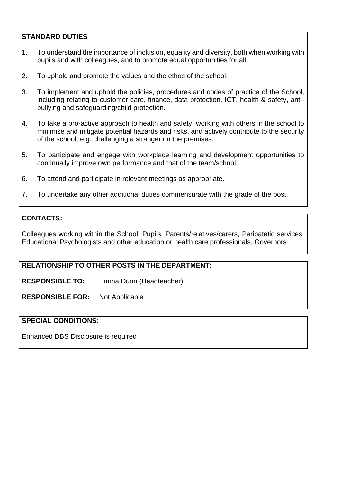#### **STANDARD DUTIES**

- 1. To understand the importance of inclusion, equality and diversity, both when working with pupils and with colleagues, and to promote equal opportunities for all.
- 2. To uphold and promote the values and the ethos of the school.
- 3. To implement and uphold the policies, procedures and codes of practice of the School, including relating to customer care, finance, data protection, ICT, health & safety, antibullying and safeguarding/child protection.
- 4. To take a pro-active approach to health and safety, working with others in the school to minimise and mitigate potential hazards and risks, and actively contribute to the security of the school, e.g. challenging a stranger on the premises.
- 5. To participate and engage with workplace learning and development opportunities to continually improve own performance and that of the team/school.
- 6. To attend and participate in relevant meetings as appropriate.
- 7. To undertake any other additional duties commensurate with the grade of the post.

#### **CONTACTS:**

Colleagues working within the School, Pupils, Parents/relatives/carers, Peripatetic services, Educational Psychologists and other education or health care professionals, Governors

## **RELATIONSHIP TO OTHER POSTS IN THE DEPARTMENT:**

**RESPONSIBLE TO:** Emma Dunn (Headteacher)

**RESPONSIBLE FOR:** Not Applicable

#### **SPECIAL CONDITIONS:**

Enhanced DBS Disclosure is required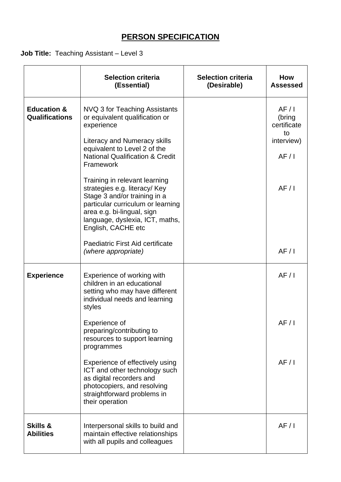# **PERSON SPECIFICATION**

## **Job Title:** Teaching Assistant – Level 3

|                                                 | <b>Selection criteria</b><br>(Essential)                                                                                                                                                                                                                                                                                                                                                                                                                                                                 | <b>Selection criteria</b><br>(Desirable) | <b>How</b><br><b>Assessed</b>                                             |
|-------------------------------------------------|----------------------------------------------------------------------------------------------------------------------------------------------------------------------------------------------------------------------------------------------------------------------------------------------------------------------------------------------------------------------------------------------------------------------------------------------------------------------------------------------------------|------------------------------------------|---------------------------------------------------------------------------|
| <b>Education &amp;</b><br><b>Qualifications</b> | NVQ 3 for Teaching Assistants<br>or equivalent qualification or<br>experience<br><b>Literacy and Numeracy skills</b><br>equivalent to Level 2 of the<br><b>National Qualification &amp; Credit</b><br>Framework<br>Training in relevant learning<br>strategies e.g. literacy/ Key<br>Stage 3 and/or training in a<br>particular curriculum or learning<br>area e.g. bi-lingual, sign<br>language, dyslexia, ICT, maths,<br>English, CACHE etc<br>Paediatric First Aid certificate<br>(where appropriate) |                                          | AF/1<br>(bring<br>certificate<br>to<br>interview)<br>AF/1<br>AF/1<br>AF/1 |
| <b>Experience</b>                               | Experience of working with<br>children in an educational<br>setting who may have different<br>individual needs and learning<br>styles<br>Experience of<br>preparing/contributing to<br>resources to support learning<br>programmes<br>Experience of effectively using<br>ICT and other technology such<br>as digital recorders and<br>photocopiers, and resolving<br>straightforward problems in<br>their operation                                                                                      |                                          | AF/1<br>AF/1<br>AF/1                                                      |
| <b>Skills &amp;</b><br><b>Abilities</b>         | Interpersonal skills to build and<br>maintain effective relationships<br>with all pupils and colleagues                                                                                                                                                                                                                                                                                                                                                                                                  |                                          | AF/1                                                                      |